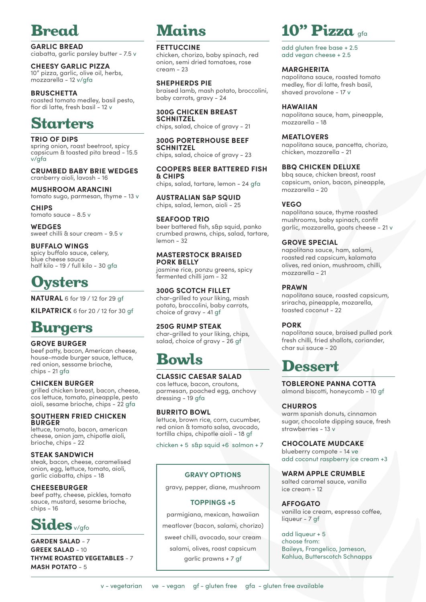

**GARLIC BREAD** ciabatta, garlic parsley butter - 7.5 v

**CHEESY GARLIC PIZZA** 10" pizza, garlic, olive oil, herbs, mozzarella - 12 v/gfa

#### **BRUSCHETTA**

roasted tomato medley, basil pesto, fior di latte, fresh basil - 12 v

## Starters

**TRIO OF DIPS** spring onion, roast beetroot, spicy capsicum & toasted pita bread - 15.5 v/gfa

**CRUMBED BABY BRIE WEDGES** cranberry aioli, lavosh - 16

#### **MUSHROOM ARANCINI** tomato sugo, parmesan, thyme - 13 v

**CHIPS**

tomato sauce - 8.5 v **WEDGES**

sweet chilli & sour cream - 9.5 v

#### **BUFFALO WINGS**

spicy buffalo sauce, celery, blue cheese sauce half kilo - 19 / full kilo - 30 gfa

## vsters

**NATURAL** 6 for 19 / 12 for 29 gf

**KILPATRICK** 6 for 20 / 12 for 30 gf

### Burgers

#### **GROVE BURGER**

beef patty, bacon, American cheese, house-made burger sauce, lettuce, red onion, sessame brioche, chips - 21 gfa

**CHICKEN BURGER**

grilled chicken breast, bacon, cheese, cos lettuce, tomato, pineapple, pesto aioli, sesame brioche, chips - 22 gfa

#### **SOUTHERN FRIED CHICKEN BURGER**

lettuce, tomato, bacon, american cheese, onion jam, chipotle aioli, brioche, chips - 22

#### **STEAK SANDWICH**

steak, bacon, cheese, caramelised onion, egg, lettuce, tomato, aioli, garlic ciabatta, chips - 18

#### **CHEESEBURGER**

beef patty, cheese, pickles, tomato sauce, mustard, sesame brioche,  $chips - 16$ 

## Sides v/gfo

**GARDEN SALAD** - 7 **GREEK SALAD** - 10 **THYME ROASTED VEGETABLES** - 7 **MASH POTATO** - 5

## Mains

#### **FETTUCCINE**

chicken, chorizo, baby spinach, red onion, semi dried tomatoes, rose cream - 23

#### **SHEPHERDS PIE**

braised lamb, mash potato, broccolini, baby carrots, gravy - 24

**300G CHICKEN BREAST SCHNITZEL**  chips, salad, choice of gravy - 21

#### **300G PORTERHOUSE BEEF SCHNITZEL**

chips, salad, choice of gravy - 23

#### **COOPERS BEER BATTERED FISH & CHIPS**

chips, salad, tartare, lemon - 24 gfa

**AUSTRALIAN S&P SQUID** chips, salad, lemon, aioli - 25

#### **SEAFOOD TRIO**

beer battered fish, s&p squid, panko crumbed prawns, chips, salad, tartare, lemon - 32

#### **MASTERSTOCK BRAISED PORK BELLY**

jasmine rice, ponzu greens, spicy fermented chilli jam - 32

#### **300G SCOTCH FILLET**

char-grilled to your liking, mash potato, broccolini, baby carrots, choice of gravy - 41 gf

#### **250G RUMP STEAK**

char-grilled to your liking, chips, salad, choice of gravy - 26 af

## Bowls

#### **CLASSIC CAESAR SALAD**

cos lettuce, bacon, croutons, parmesan, poached egg, anchovy dressing - 19 gfa

#### **BURRITO BOWL**

lettuce, brown rice, corn, cucumber, red onion & tomato salsa, avocado, tortilla chips, chipotle aioli - 18 gf

chicken + 5 s&p squid +6 salmon + 7

#### **GRAVY OPTIONS**

gravy, pepper, diane, mushroom

#### **TOPPINGS +5**

parmigiana, mexican, hawaiian meatlover (bacon, salami, chorizo) sweet chilli, avocado, sour cream salami, olives, roast capsicum garlic prawns + 7 gf

## 10" Pizza gfa

add gluten free base + 2.5 add vegan cheese + 2.5

#### **MARGHERITA**

napolitana sauce, roasted tomato medley, fior di latte, fresh basil, shaved provolone - 17 v

#### **HAWAIIAN**

napolitana sauce, ham, pineapple, mozzarella - 18

#### **MEATLOVERS**

napolitana sauce, pancetta, chorizo, chicken, mozzarella - 21

#### **BBQ CHICKEN DELUXE**

bbq sauce, chicken breast, roast capsicum, onion, bacon, pineapple, mozzarella - 20

#### **VEGO**

napolitana sauce, thyme roasted mushrooms, baby spinach, confit garlic, mozzarella, goats cheese - 21 v

#### **GROVE SPECIAL**

napolitana sauce, ham, salami, roasted red capsicum, kalamata olives, red onion, mushroom, chilli, mozzarella - 21

#### **PRAWN**

napolitana sauce, roasted capsicum, sriracha, pineapple, mozarella, toasted coconut - 22

#### **PORK**

napolitana sauce, braised pulled pork fresh chilli, fried shallots, coriander, char sui sauce - 20

## Dessert

**TOBLERONE PANNA COTTA**

almond biscotti, honeycomb - 10 gf

#### **CHURROS**

warm spanish donuts, cinnamon sugar, chocolate dipping sauce, fresh strawberries - 13 v

#### **CHOCOLATE MUDCAKE**

blueberry compote - 14 ve add coconut raspberry ice cream +3

#### **WARM APPLE CRUMBLE**

salted caramel sauce, vanilla ice cream - 12

**AFFOGATO**  vanilla ice cream, espresso coffee, liqueur - 7 gf

add liqueur + 5 choose from: Baileys, Frangelico, Jameson, Kahlua, Butterscotch Schnapps